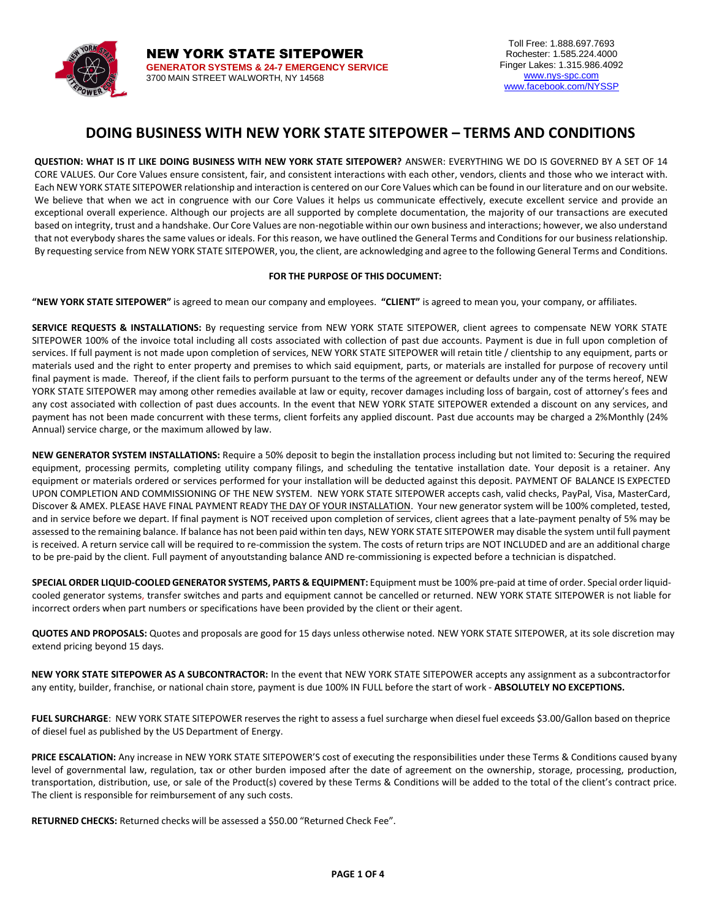

# **DOING BUSINESS WITH NEW YORK STATE SITEPOWER – TERMS AND CONDITIONS**

**QUESTION: WHAT IS IT LIKE DOING BUSINESS WITH NEW YORK STATE SITEPOWER?** ANSWER: EVERYTHING WE DO IS GOVERNED BY A SET OF 14 CORE VALUES. Our Core Values ensure consistent, fair, and consistent interactions with each other, vendors, clients and those who we interact with. Each NEW YORK STATE SITEPOWER relationship and interaction is centered on our Core Values which can be found in our literature and on our website. We believe that when we act in congruence with our Core Values it helps us communicate effectively, execute excellent service and provide an exceptional overall experience. Although our projects are all supported by complete documentation, the majority of our transactions are executed based on integrity, trust and a handshake. Our Core Values are non-negotiable within our own business and interactions; however, we also understand that not everybody shares the same values or ideals. For this reason, we have outlined the General Terms and Conditions for our business relationship. By requesting service from NEW YORK STATE SITEPOWER, you, the client, are acknowledging and agree to the following General Terms and Conditions.

## **FOR THE PURPOSE OF THIS DOCUMENT:**

**"NEW YORK STATE SITEPOWER"** is agreed to mean our company and employees. **"CLIENT"** is agreed to mean you, your company, or affiliates.

**SERVICE REQUESTS & INSTALLATIONS:** By requesting service from NEW YORK STATE SITEPOWER, client agrees to compensate NEW YORK STATE SITEPOWER 100% of the invoice total including all costs associated with collection of past due accounts. Payment is due in full upon completion of services. If full payment is not made upon completion of services, NEW YORK STATE SITEPOWER will retain title / clientship to any equipment, parts or materials used and the right to enter property and premises to which said equipment, parts, or materials are installed for purpose of recovery until final payment is made. Thereof, if the client fails to perform pursuant to the terms of the agreement or defaults under any of the terms hereof, NEW YORK STATE SITEPOWER may among other remedies available at law or equity, recover damages including loss of bargain, cost of attorney's fees and any cost associated with collection of past dues accounts. In the event that NEW YORK STATE SITEPOWER extended a discount on any services, and payment has not been made concurrent with these terms, client forfeits any applied discount. Past due accounts may be charged a 2%Monthly (24% Annual) service charge, or the maximum allowed by law.

**NEW GENERATOR SYSTEM INSTALLATIONS:** Require a 50% deposit to begin the installation process including but not limited to: Securing the required equipment, processing permits, completing utility company filings, and scheduling the tentative installation date. Your deposit is a retainer. Any equipment or materials ordered or services performed for your installation will be deducted against this deposit. PAYMENT OF BALANCE IS EXPECTED UPON COMPLETION AND COMMISSIONING OF THE NEW SYSTEM. NEW YORK STATE SITEPOWER accepts cash, valid checks, PayPal, Visa, MasterCard, Discover & AMEX. PLEASE HAVE FINAL PAYMENT READY THE DAY OF YOUR INSTALLATION. Your new generator system will be 100% completed, tested, and in service before we depart. If final payment is NOT received upon completion of services, client agrees that a late-payment penalty of 5% may be assessed to the remaining balance. If balance has not been paid within ten days, NEW YORK STATE SITEPOWER may disable the system until full payment is received. A return service call will be required to re-commission the system. The costs of return trips are NOT INCLUDED and are an additional charge to be pre-paid by the client. Full payment of anyoutstanding balance AND re-commissioning is expected before a technician is dispatched.

**SPECIAL ORDER LIQUID-COOLED GENERATOR SYSTEMS, PARTS & EQUIPMENT:** Equipment must be 100% pre-paid at time of order. Special order liquidcooled generator systems, transfer switches and parts and equipment cannot be cancelled or returned. NEW YORK STATE SITEPOWER is not liable for incorrect orders when part numbers or specifications have been provided by the client or their agent.

**QUOTES AND PROPOSALS:** Quotes and proposals are good for 15 days unless otherwise noted. NEW YORK STATE SITEPOWER, at its sole discretion may extend pricing beyond 15 days.

**NEW YORK STATE SITEPOWER AS A SUBCONTRACTOR:** In the event that NEW YORK STATE SITEPOWER accepts any assignment as a subcontractorfor any entity, builder, franchise, or national chain store, payment is due 100% IN FULL before the start of work - **ABSOLUTELY NO EXCEPTIONS.**

**FUEL SURCHARGE**: NEW YORK STATE SITEPOWER reserves the right to assess a fuel surcharge when diesel fuel exceeds \$3.00/Gallon based on theprice of diesel fuel as published by the US Department of Energy.

**PRICE ESCALATION:** Any increase in NEW YORK STATE SITEPOWER'S cost of executing the responsibilities under these Terms & Conditions caused byany level of governmental law, regulation, tax or other burden imposed after the date of agreement on the ownership, storage, processing, production, transportation, distribution, use, or sale of the Product(s) covered by these Terms & Conditions will be added to the total of the client's contract price. The client is responsible for reimbursement of any such costs.

**RETURNED CHECKS:** Returned checks will be assessed a \$50.00 "Returned Check Fee".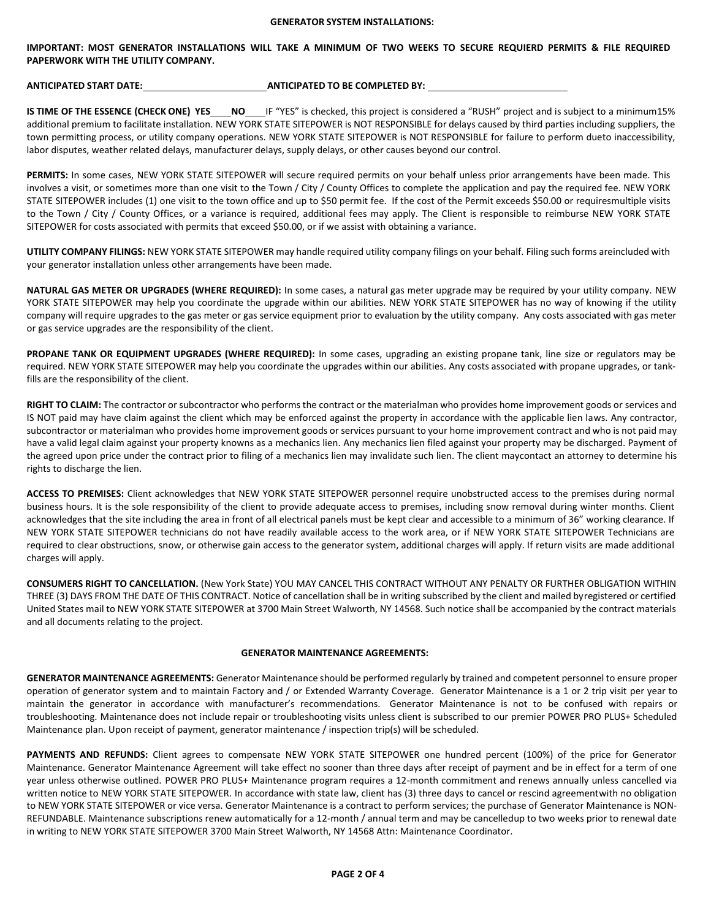#### **GENERATOR SYSTEM INSTALLATIONS:**

IMPORTANT: MOST GENERATOR INSTALLATIONS WILL TAKE A MINIMUM OF TWO WEEKS TO SECURE REQUIERD PERMITS & FILE REQUIRED **PAPERWORK WITH THE UTILITY COMPANY.**

**ANTICIPATED START DATE: ANTICIPATED TO BE COMPLETED BY:** 

**IS TIME OF THE ESSENCE (CHECK ONE) YES\_\_\_NO\_\_\_\_IF "YES"** is checked, this project is considered a "RUSH" project and is subject to a minimum15% additional premium to facilitate installation. NEW YORK STATE SITEPOWER is NOT RESPONSIBLE for delays caused by third parties including suppliers, the town permitting process, or utility company operations. NEW YORK STATE SITEPOWER is NOT RESPONSIBLE for failure to perform dueto inaccessibility, labor disputes, weather related delays, manufacturer delays, supply delays, or other causes beyond our control.

**PERMITS:** In some cases, NEW YORK STATE SITEPOWER will secure required permits on your behalf unless prior arrangements have been made. This involves a visit, or sometimes more than one visit to the Town / City / County Offices to complete the application and pay the required fee. NEW YORK STATE SITEPOWER includes (1) one visit to the town office and up to \$50 permit fee. If the cost of the Permit exceeds \$50.00 or requiresmultiple visits to the Town / City / County Offices, or a variance is required, additional fees may apply. The Client is responsible to reimburse NEW YORK STATE SITEPOWER for costs associated with permits that exceed \$50.00, or if we assist with obtaining a variance.

**UTILITY COMPANY FILINGS:** NEW YORK STATE SITEPOWER may handle required utility company filings on your behalf. Filing such forms areincluded with your generator installation unless other arrangements have been made.

**NATURAL GAS METER OR UPGRADES (WHERE REQUIRED):** In some cases, a natural gas meter upgrade may be required by your utility company. NEW YORK STATE SITEPOWER may help you coordinate the upgrade within our abilities. NEW YORK STATE SITEPOWER has no way of knowing if the utility company will require upgrades to the gas meter or gas service equipment prior to evaluation by the utility company. Any costs associated with gas meter or gas service upgrades are the responsibility of the client.

**PROPANE TANK OR EQUIPMENT UPGRADES (WHERE REQUIRED):** In some cases, upgrading an existing propane tank, line size or regulators may be required. NEW YORK STATE SITEPOWER may help you coordinate the upgrades within our abilities. Any costs associated with propane upgrades, or tankfills are the responsibility of the client.

**RIGHT TO CLAIM:** The contractor or subcontractor who performs the contract or the materialman who provides home improvement goods or services and IS NOT paid may have claim against the client which may be enforced against the property in accordance with the applicable lien laws. Any contractor, subcontractor or materialman who provides home improvement goods or services pursuant to your home improvement contract and who is not paid may have a valid legal claim against your property knowns as a mechanics lien. Any mechanics lien filed against your property may be discharged. Payment of the agreed upon price under the contract prior to filing of a mechanics lien may invalidate such lien. The client maycontact an attorney to determine his rights to discharge the lien.

**ACCESS TO PREMISES:** Client acknowledges that NEW YORK STATE SITEPOWER personnel require unobstructed access to the premises during normal business hours. It is the sole responsibility of the client to provide adequate access to premises, including snow removal during winter months. Client acknowledges that the site including the area in front of all electrical panels must be kept clear and accessible to a minimum of 36" working clearance. If NEW YORK STATE SITEPOWER technicians do not have readily available access to the work area, or if NEW YORK STATE SITEPOWER Technicians are required to clear obstructions, snow, or otherwise gain access to the generator system, additional charges will apply. If return visits are made additional charges will apply.

**CONSUMERS RIGHT TO CANCELLATION.** (New York State) YOU MAY CANCEL THIS CONTRACT WITHOUT ANY PENALTY OR FURTHER OBLIGATION WITHIN THREE (3) DAYS FROM THE DATE OF THIS CONTRACT. Notice of cancellation shall be in writing subscribed by the client and mailed byregistered or certified United States mail to NEW YORK STATE SITEPOWER at 3700 Main Street Walworth, NY 14568. Such notice shall be accompanied by the contract materials and all documents relating to the project.

## **GENERATOR MAINTENANCE AGREEMENTS:**

**GENERATOR MAINTENANCE AGREEMENTS:** Generator Maintenance should be performed regularly by trained and competent personnel to ensure proper operation of generator system and to maintain Factory and / or Extended Warranty Coverage. Generator Maintenance is a 1 or 2 trip visit per year to maintain the generator in accordance with manufacturer's recommendations. Generator Maintenance is not to be confused with repairs or troubleshooting. Maintenance does not include repair or troubleshooting visits unless client is subscribed to our premier POWER PRO PLUS+ Scheduled Maintenance plan. Upon receipt of payment, generator maintenance / inspection trip(s) will be scheduled.

**PAYMENTS AND REFUNDS:** Client agrees to compensate NEW YORK STATE SITEPOWER one hundred percent (100%) of the price for Generator Maintenance. Generator Maintenance Agreement will take effect no sooner than three days after receipt of payment and be in effect for a term of one year unless otherwise outlined. POWER PRO PLUS+ Maintenance program requires a 12-month commitment and renews annually unless cancelled via written notice to NEW YORK STATE SITEPOWER. In accordance with state law, client has (3) three days to cancel or rescind agreementwith no obligation to NEW YORK STATE SITEPOWER or vice versa. Generator Maintenance is a contract to perform services; the purchase of Generator Maintenance is NON-REFUNDABLE. Maintenance subscriptions renew automatically for a 12-month / annual term and may be cancelledup to two weeks prior to renewal date in writing to NEW YORK STATE SITEPOWER 3700 Main Street Walworth, NY 14568 Attn: Maintenance Coordinator.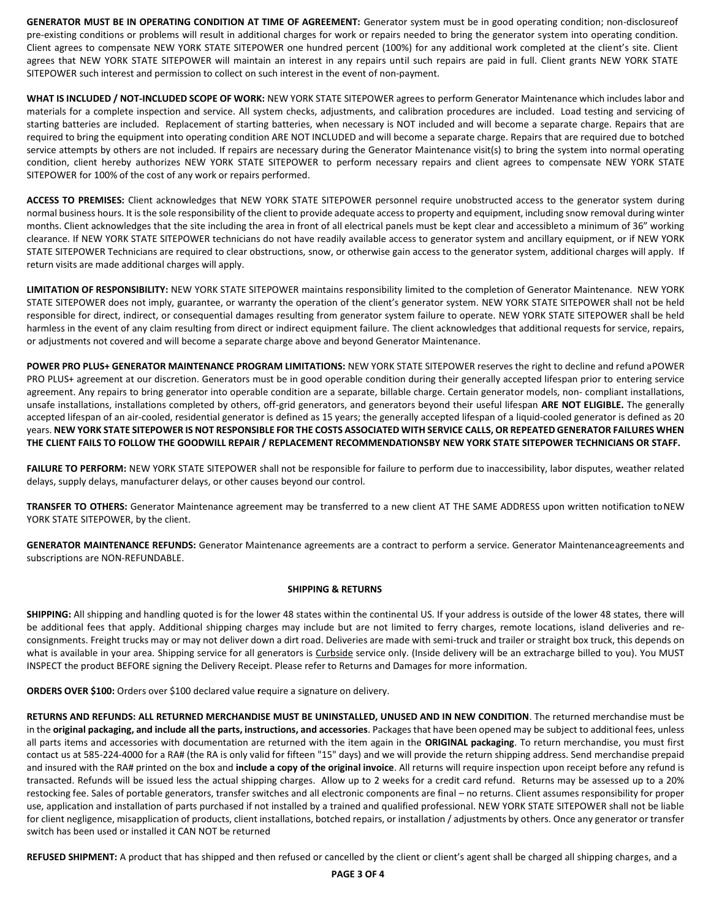**GENERATOR MUST BE IN OPERATING CONDITION AT TIME OF AGREEMENT:** Generator system must be in good operating condition; non-disclosureof pre-existing conditions or problems will result in additional charges for work or repairs needed to bring the generator system into operating condition. Client agrees to compensate NEW YORK STATE SITEPOWER one hundred percent (100%) for any additional work completed at the client's site. Client agrees that NEW YORK STATE SITEPOWER will maintain an interest in any repairs until such repairs are paid in full. Client grants NEW YORK STATE SITEPOWER such interest and permission to collect on such interest in the event of non-payment.

**WHAT IS INCLUDED / NOT-INCLUDED SCOPE OF WORK:** NEW YORK STATE SITEPOWER agrees to perform Generator Maintenance which includes labor and materials for a complete inspection and service. All system checks, adjustments, and calibration procedures are included. Load testing and servicing of starting batteries are included. Replacement of starting batteries, when necessary is NOT included and will become a separate charge. Repairs that are required to bring the equipment into operating condition ARE NOT INCLUDED and will become a separate charge. Repairs that are required due to botched service attempts by others are not included. If repairs are necessary during the Generator Maintenance visit(s) to bring the system into normal operating condition, client hereby authorizes NEW YORK STATE SITEPOWER to perform necessary repairs and client agrees to compensate NEW YORK STATE SITEPOWER for 100% of the cost of any work or repairs performed.

**ACCESS TO PREMISES:** Client acknowledges that NEW YORK STATE SITEPOWER personnel require unobstructed access to the generator system during normal business hours. It is the sole responsibility of the client to provide adequate access to property and equipment, including snow removal during winter months. Client acknowledges that the site including the area in front of all electrical panels must be kept clear and accessibleto a minimum of 36" working clearance. If NEW YORK STATE SITEPOWER technicians do not have readily available access to generator system and ancillary equipment, or if NEW YORK STATE SITEPOWER Technicians are required to clear obstructions, snow, or otherwise gain access to the generator system, additional charges will apply. If return visits are made additional charges will apply.

**LIMITATION OF RESPONSIBILITY:** NEW YORK STATE SITEPOWER maintains responsibility limited to the completion of Generator Maintenance. NEW YORK STATE SITEPOWER does not imply, guarantee, or warranty the operation of the client's generator system. NEW YORK STATE SITEPOWER shall not be held responsible for direct, indirect, or consequential damages resulting from generator system failure to operate. NEW YORK STATE SITEPOWER shall be held harmless in the event of any claim resulting from direct or indirect equipment failure. The client acknowledges that additional requests for service, repairs, or adjustments not covered and will become a separate charge above and beyond Generator Maintenance.

**POWER PRO PLUS+ GENERATOR MAINTENANCE PROGRAM LIMITATIONS:** NEW YORK STATE SITEPOWER reserves the right to decline and refund aPOWER PRO PLUS+ agreement at our discretion. Generators must be in good operable condition during their generally accepted lifespan prior to entering service agreement. Any repairs to bring generator into operable condition are a separate, billable charge. Certain generator models, non- compliant installations, unsafe installations, installations completed by others, off-grid generators, and generators beyond their useful lifespan **ARE NOT ELIGIBLE.** The generally accepted lifespan of an air-cooled, residential generator is defined as 15 years; the generally accepted lifespan of a liquid-cooled generator is defined as 20 years. **NEW YORK STATE SITEPOWER IS NOT RESPONSIBLE FOR THE COSTS ASSOCIATED WITH SERVICE CALLS, OR REPEATED GENERATOR FAILURES WHEN THE CLIENT FAILS TO FOLLOW THE GOODWILL REPAIR / REPLACEMENT RECOMMENDATIONSBY NEW YORK STATE SITEPOWER TECHNICIANS OR STAFF.**

**FAILURE TO PERFORM:** NEW YORK STATE SITEPOWER shall not be responsible for failure to perform due to inaccessibility, labor disputes, weather related delays, supply delays, manufacturer delays, or other causes beyond our control.

**TRANSFER TO OTHERS:** Generator Maintenance agreement may be transferred to a new client AT THE SAME ADDRESS upon written notification toNEW YORK STATE SITEPOWER, by the client.

**GENERATOR MAINTENANCE REFUNDS:** Generator Maintenance agreements are a contract to perform a service. Generator Maintenanceagreements and subscriptions are NON-REFUNDABLE.

### **SHIPPING & RETURNS**

**SHIPPING:** All shipping and handling quoted is for the lower 48 states within the continental US. If your address is outside of the lower 48 states, there will be additional fees that apply. Additional shipping charges may include but are not limited to ferry charges, remote locations, island deliveries and reconsignments. Freight trucks may or may not deliver down a dirt road. Deliveries are made with semi-truck and trailer or straight box truck, this depends on what is available in your area. Shipping service for all generators is Curbside service only. (Inside delivery will be an extracharge billed to you). You MUST INSPECT the product BEFORE signing the Delivery Receipt. Please refer to Returns and Damages for more information.

**ORDERS OVER \$100:** Orders over \$100 declared value **r**equire a signature on delivery.

**RETURNS AND REFUNDS: ALL RETURNED MERCHANDISE MUST BE UNINSTALLED, UNUSED AND IN NEW CONDITION**. The returned merchandise must be in the **original packaging, and include all the parts, instructions, and accessories**. Packages that have been opened may be subject to additional fees, unless all parts items and accessories with documentation are returned with the item again in the **ORIGINAL packaging**. To return merchandise, you must first contact us at 585-224-4000 for a RA# (the RA is only valid for fifteen "15" days) and we will provide the return shipping address. Send merchandise prepaid and insured with the RA# printed on the box and **include a copy of the original invoice**. All returns will require inspection upon receipt before any refund is transacted. Refunds will be issued less the actual shipping charges. Allow up to 2 weeks for a credit card refund. Returns may be assessed up to a 20% restocking fee. Sales of portable generators, transfer switches and all electronic components are final – no returns. Client assumes responsibility for proper use, application and installation of parts purchased if not installed by a trained and qualified professional. NEW YORK STATE SITEPOWER shall not be liable for client negligence, misapplication of products, client installations, botched repairs, or installation / adjustments by others. Once any generator or transfer switch has been used or installed it CAN NOT be returned

**REFUSED SHIPMENT:** A product that has shipped and then refused or cancelled by the client or client's agent shall be charged all shipping charges, and a